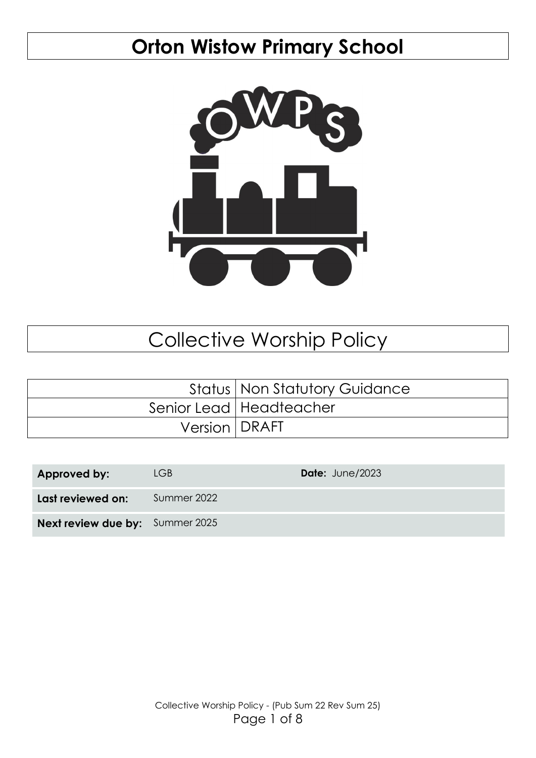# **Orton Wistow Primary School**



# Collective Worship Policy

|                 | <b>Status   Non Statutory Guidance</b> |
|-----------------|----------------------------------------|
|                 | Senior Lead   Headteacher              |
| Version   DRAFT |                                        |

| Approved by:                           | LGB         | Date: June/2023 |
|----------------------------------------|-------------|-----------------|
| Last reviewed on:                      | Summer 2022 |                 |
| <b>Next review due by:</b> Summer 2025 |             |                 |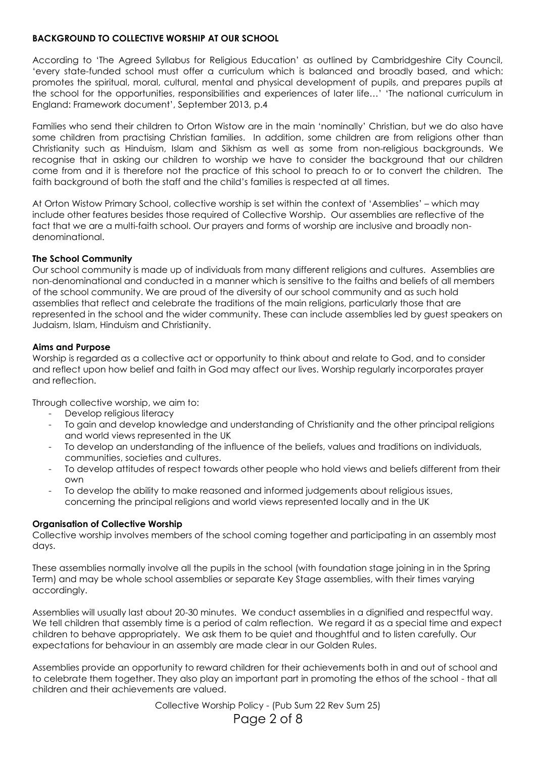# **BACKGROUND TO COLLECTIVE WORSHIP AT OUR SCHOOL**

According to 'The Agreed Syllabus for Religious Education' as outlined by Cambridgeshire City Council, 'every state-funded school must offer a curriculum which is balanced and broadly based, and which: promotes the spiritual, moral, cultural, mental and physical development of pupils, and prepares pupils at the school for the opportunities, responsibilities and experiences of later life…' 'The national curriculum in England: Framework document', September 2013, p.4

Families who send their children to Orton Wistow are in the main 'nominally' Christian, but we do also have some children from practising Christian families. In addition, some children are from religions other than Christianity such as Hinduism, Islam and Sikhism as well as some from non-religious backgrounds. We recognise that in asking our children to worship we have to consider the background that our children come from and it is therefore not the practice of this school to preach to or to convert the children. The faith background of both the staff and the child's families is respected at all times.

At Orton Wistow Primary School, collective worship is set within the context of 'Assemblies' – which may include other features besides those required of Collective Worship. Our assemblies are reflective of the fact that we are a multi-faith school. Our prayers and forms of worship are inclusive and broadly nondenominational.

# **The School Community**

Our school community is made up of individuals from many different religions and cultures. Assemblies are non-denominational and conducted in a manner which is sensitive to the faiths and beliefs of all members of the school community. We are proud of the diversity of our school community and as such hold assemblies that reflect and celebrate the traditions of the main religions, particularly those that are represented in the school and the wider community. These can include assemblies led by guest speakers on Judaism, Islam, Hinduism and Christianity.

# **Aims and Purpose**

Worship is regarded as a collective act or opportunity to think about and relate to God, and to consider and reflect upon how belief and faith in God may affect our lives. Worship regularly incorporates prayer and reflection.

Through collective worship, we aim to:

- Develop religious literacy
- To gain and develop knowledge and understanding of Christianity and the other principal religions and world views represented in the UK
- To develop an understanding of the influence of the beliefs, values and traditions on individuals, communities, societies and cultures.
- To develop attitudes of respect towards other people who hold views and beliefs different from their own
- To develop the ability to make reasoned and informed judgements about religious issues, concerning the principal religions and world views represented locally and in the UK

# **Organisation of Collective Worship**

Collective worship involves members of the school coming together and participating in an assembly most days.

These assemblies normally involve all the pupils in the school (with foundation stage joining in in the Spring Term) and may be whole school assemblies or separate Key Stage assemblies, with their times varying accordingly.

Assemblies will usually last about 20-30 minutes. We conduct assemblies in a dignified and respectful way. We tell children that assembly time is a period of calm reflection. We regard it as a special time and expect children to behave appropriately. We ask them to be quiet and thoughtful and to listen carefully. Our expectations for behaviour in an assembly are made clear in our Golden Rules.

Assemblies provide an opportunity to reward children for their achievements both in and out of school and to celebrate them together. They also play an important part in promoting the ethos of the school - that all children and their achievements are valued.

Collective Worship Policy - (Pub Sum 22 Rev Sum 25)

# Page 2 of 8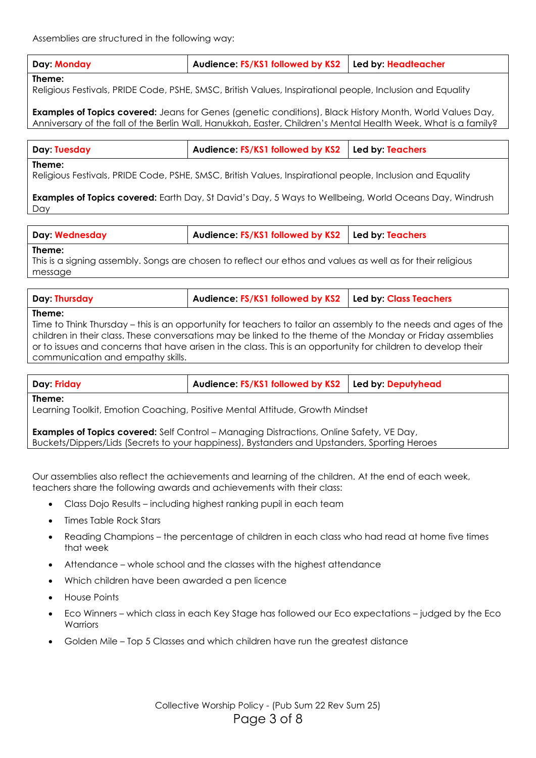**Day: Monday Audience: FS/KS1 followed by KS2 Led by: Headteacher**

# **Theme:**

Religious Festivals, PRIDE Code, PSHE, SMSC, British Values, Inspirational people, Inclusion and Equality

**Examples of Topics covered:** Jeans for Genes (genetic conditions), Black History Month, World Values Day, Anniversary of the fall of the Berlin Wall, Hanukkah, Easter, Children's Mental Health Week, What is a family?

| Day: Tuesday | Audience: FS/KS1 followed by KS2   Led by: Teachers |
|--------------|-----------------------------------------------------|
|--------------|-----------------------------------------------------|

#### **Theme:**

Religious Festivals, PRIDE Code, PSHE, SMSC, British Values, Inspirational people, Inclusion and Equality

**Examples of Topics covered:** Earth Day, St David's Day, 5 Ways to Wellbeing, World Oceans Day, Windrush Day

| <b>Day: Wednesday</b> | Audience: FS/KS1 followed by KS2   Led by: Teachers |  |
|-----------------------|-----------------------------------------------------|--|
|-----------------------|-----------------------------------------------------|--|

#### **Theme:**

This is a signing assembly. Songs are chosen to reflect our ethos and values as well as for their religious message

| Day: Thursday | Audience: FS/KS1 followed by KS2   Led by: Class Teachers |  |
|---------------|-----------------------------------------------------------|--|
|               |                                                           |  |

#### **Theme:**

Time to Think Thursday – this is an opportunity for teachers to tailor an assembly to the needs and ages of the children in their class. These conversations may be linked to the theme of the Monday or Friday assemblies or to issues and concerns that have arisen in the class. This is an opportunity for children to develop their communication and empathy skills.

| Day: Friday                                                                                                                                                                                     | Audience: FS/KS1 followed by KS2 | Led by: Deputyhead |
|-------------------------------------------------------------------------------------------------------------------------------------------------------------------------------------------------|----------------------------------|--------------------|
| Theme:<br>Learning Toolkit, Emotion Coaching, Positive Mental Attitude, Growth Mindset                                                                                                          |                                  |                    |
| <b>Examples of Topics covered:</b> Self Control – Managing Distractions, Online Safety, VE Day,<br>Buckets/Dippers/Lids (Secrets to your happiness), Bystanders and Upstanders, Sporting Heroes |                                  |                    |

Our assemblies also reflect the achievements and learning of the children. At the end of each week, teachers share the following awards and achievements with their class:

- Class Dojo Results including highest ranking pupil in each team
- Times Table Rock Stars
- Reading Champions the percentage of children in each class who had read at home five times that week
- Attendance whole school and the classes with the highest attendance
- Which children have been awarded a pen licence
- House Points
- Eco Winners which class in each Key Stage has followed our Eco expectations judged by the Eco **Warriors**
- Golden Mile Top 5 Classes and which children have run the greatest distance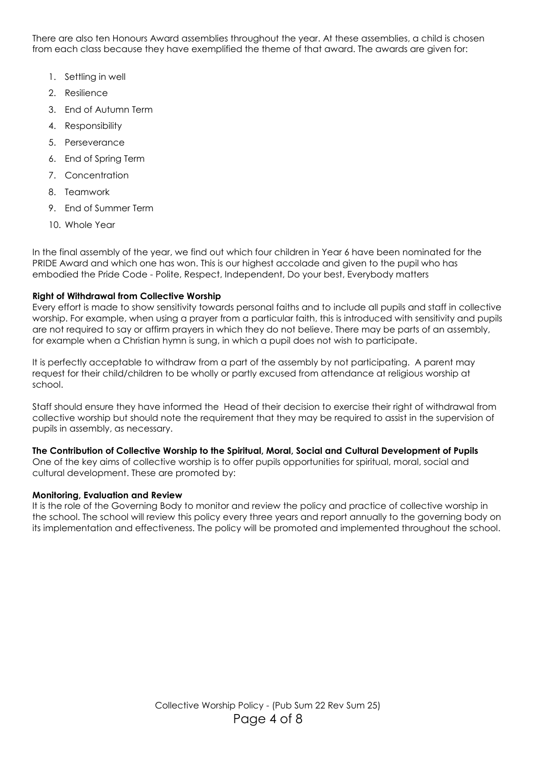There are also ten Honours Award assemblies throughout the year. At these assemblies, a child is chosen from each class because they have exemplified the theme of that award. The awards are given for:

- 1. Settling in well
- 2. Resilience
- 3. End of Autumn Term
- 4. Responsibility
- 5. Perseverance
- 6. End of Spring Term
- 7. Concentration
- 8. Teamwork
- 9. End of Summer Term
- 10. Whole Year

In the final assembly of the year, we find out which four children in Year 6 have been nominated for the PRIDE Award and which one has won. This is our highest accolade and given to the pupil who has embodied the Pride Code - Polite, Respect, Independent, Do your best, Everybody matters

# **Right of Withdrawal from Collective Worship**

Every effort is made to show sensitivity towards personal faiths and to include all pupils and staff in collective worship. For example, when using a prayer from a particular faith, this is introduced with sensitivity and pupils are not required to say or affirm prayers in which they do not believe. There may be parts of an assembly, for example when a Christian hymn is sung, in which a pupil does not wish to participate.

It is perfectly acceptable to withdraw from a part of the assembly by not participating. A parent may request for their child/children to be wholly or partly excused from attendance at religious worship at school.

Staff should ensure they have informed the Head of their decision to exercise their right of withdrawal from collective worship but should note the requirement that they may be required to assist in the supervision of pupils in assembly, as necessary.

# **The Contribution of Collective Worship to the Spiritual, Moral, Social and Cultural Development of Pupils**

One of the key aims of collective worship is to offer pupils opportunities for spiritual, moral, social and cultural development. These are promoted by:

# **Monitoring, Evaluation and Review**

It is the role of the Governing Body to monitor and review the policy and practice of collective worship in the school. The school will review this policy every three years and report annually to the governing body on its implementation and effectiveness. The policy will be promoted and implemented throughout the school.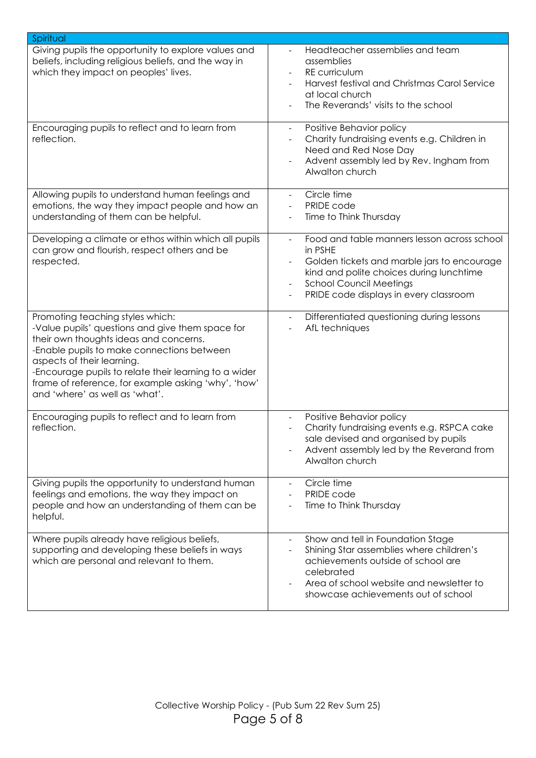| Spiritual                                                                                                                                                                                                                                                                                                                                                    |                                                                                                                                                                                                                                                                                       |
|--------------------------------------------------------------------------------------------------------------------------------------------------------------------------------------------------------------------------------------------------------------------------------------------------------------------------------------------------------------|---------------------------------------------------------------------------------------------------------------------------------------------------------------------------------------------------------------------------------------------------------------------------------------|
| Giving pupils the opportunity to explore values and<br>beliefs, including religious beliefs, and the way in<br>which they impact on peoples' lives.                                                                                                                                                                                                          | Headteacher assemblies and team<br>assemblies<br>RE curriculum<br>Harvest festival and Christmas Carol Service<br>at local church<br>The Reverands' visits to the school                                                                                                              |
| Encouraging pupils to reflect and to learn from<br>reflection.                                                                                                                                                                                                                                                                                               | Positive Behavior policy<br>$\overline{\phantom{a}}$<br>Charity fundraising events e.g. Children in<br>Need and Red Nose Day<br>Advent assembly led by Rev. Ingham from<br>$\overline{\phantom{a}}$<br>Alwalton church                                                                |
| Allowing pupils to understand human feelings and<br>emotions, the way they impact people and how an<br>understanding of them can be helpful.                                                                                                                                                                                                                 | Circle time<br>$\overline{\phantom{a}}$<br>PRIDE code<br>$\overline{\phantom{a}}$<br>Time to Think Thursday<br>$\overline{\phantom{a}}$                                                                                                                                               |
| Developing a climate or ethos within which all pupils<br>can grow and flourish, respect others and be<br>respected.                                                                                                                                                                                                                                          | Food and table manners lesson across school<br>$\overline{\phantom{a}}$<br>in PSHE<br>Golden tickets and marble jars to encourage<br>kind and polite choices during lunchtime<br><b>School Council Meetings</b><br>$\overline{\phantom{a}}$<br>PRIDE code displays in every classroom |
| Promoting teaching styles which:<br>-Value pupils' questions and give them space for<br>their own thoughts ideas and concerns.<br>-Enable pupils to make connections between<br>aspects of their learning.<br>-Encourage pupils to relate their learning to a wider<br>frame of reference, for example asking 'why', 'how'<br>and 'where' as well as 'what'. | Differentiated questioning during lessons<br>$\blacksquare$<br>AfL techniques                                                                                                                                                                                                         |
| Encouraging pupils to reflect and to learn from<br>reflection.                                                                                                                                                                                                                                                                                               | Positive Behavior policy<br>$\overline{\phantom{a}}$<br>Charity fundraising events e.g. RSPCA cake<br>sale devised and organised by pupils<br>Advent assembly led by the Reverand from<br>Alwalton church                                                                             |
| Giving pupils the opportunity to understand human<br>feelings and emotions, the way they impact on<br>people and how an understanding of them can be<br>helpful.                                                                                                                                                                                             | Circle time<br>PRIDE code<br>$\overline{\phantom{a}}$<br>Time to Think Thursday                                                                                                                                                                                                       |
| Where pupils already have religious beliefs,<br>supporting and developing these beliefs in ways<br>which are personal and relevant to them.                                                                                                                                                                                                                  | Show and tell in Foundation Stage<br>$\overline{\phantom{a}}$<br>Shining Star assemblies where children's<br>$\overline{\phantom{a}}$<br>achievements outside of school are<br>celebrated<br>Area of school website and newsletter to<br>showcase achievements out of school          |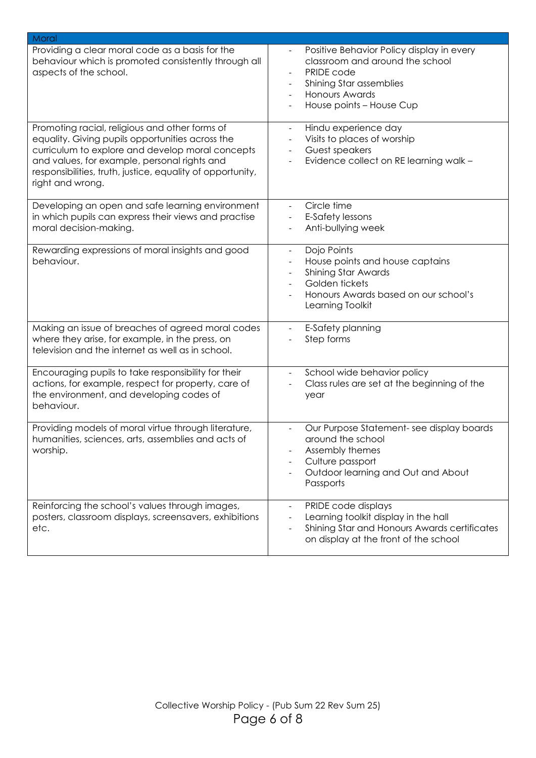| Moral                                                                                                                                                                                                                                                                                    |                                                                                                                                                                            |
|------------------------------------------------------------------------------------------------------------------------------------------------------------------------------------------------------------------------------------------------------------------------------------------|----------------------------------------------------------------------------------------------------------------------------------------------------------------------------|
| Providing a clear moral code as a basis for the<br>behaviour which is promoted consistently through all<br>aspects of the school.                                                                                                                                                        | Positive Behavior Policy display in every<br>classroom and around the school<br>PRIDE code<br>Shining Star assemblies<br><b>Honours Awards</b><br>House points - House Cup |
| Promoting racial, religious and other forms of<br>equality. Giving pupils opportunities across the<br>curriculum to explore and develop moral concepts<br>and values, for example, personal rights and<br>responsibilities, truth, justice, equality of opportunity,<br>right and wrong. | Hindu experience day<br>Visits to places of worship<br>Guest speakers<br>Evidence collect on RE learning walk -                                                            |
| Developing an open and safe learning environment<br>in which pupils can express their views and practise<br>moral decision-making.                                                                                                                                                       | Circle time<br>E-Safety lessons<br>Anti-bullying week                                                                                                                      |
| Rewarding expressions of moral insights and good<br>behaviour.                                                                                                                                                                                                                           | Dojo Points<br>House points and house captains<br><b>Shining Star Awards</b><br>Golden tickets<br>Honours Awards based on our school's<br>Learning Toolkit                 |
| Making an issue of breaches of agreed moral codes<br>where they arise, for example, in the press, on<br>television and the internet as well as in school.                                                                                                                                | E-Safety planning<br>$\overline{\phantom{a}}$<br>Step forms                                                                                                                |
| Encouraging pupils to take responsibility for their<br>actions, for example, respect for property, care of<br>the environment, and developing codes of<br>behaviour.                                                                                                                     | School wide behavior policy<br>$\overline{\phantom{a}}$<br>Class rules are set at the beginning of the<br>year                                                             |
| Providing models of moral virtue through literature,<br>humanities, sciences, arts, assemblies and acts of<br>worship.                                                                                                                                                                   | Our Purpose Statement-see display boards<br>around the school<br>Assembly themes<br>Culture passport<br>Outdoor learning and Out and About<br>Passports                    |
| Reinforcing the school's values through images,<br>posters, classroom displays, screensavers, exhibitions<br>etc.                                                                                                                                                                        | PRIDE code displays<br>Learning toolkit display in the hall<br>Shining Star and Honours Awards certificates<br>on display at the front of the school                       |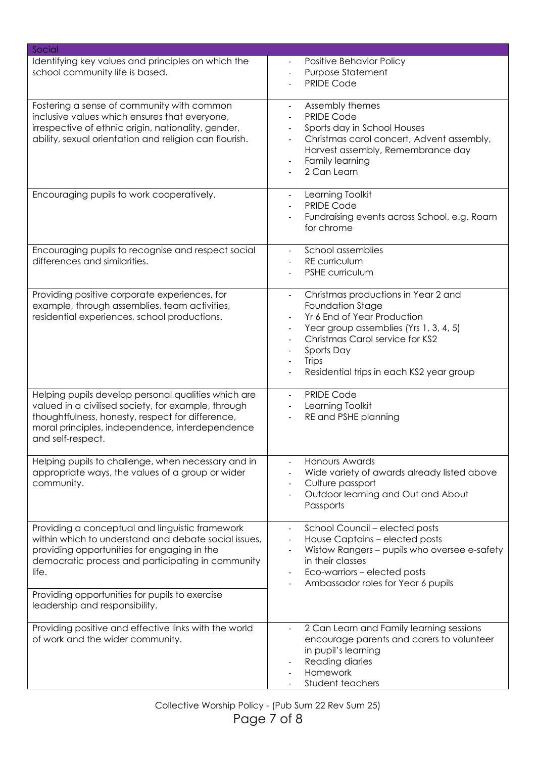| Social                                                                                                                                                                                                                                                                                                   |                                                                                                                                                                                                                                                                                                                            |
|----------------------------------------------------------------------------------------------------------------------------------------------------------------------------------------------------------------------------------------------------------------------------------------------------------|----------------------------------------------------------------------------------------------------------------------------------------------------------------------------------------------------------------------------------------------------------------------------------------------------------------------------|
| Identifying key values and principles on which the<br>school community life is based.                                                                                                                                                                                                                    | Positive Behavior Policy<br>Purpose Statement<br><b>PRIDE Code</b>                                                                                                                                                                                                                                                         |
| Fostering a sense of community with common<br>inclusive values which ensures that everyone,<br>irrespective of ethnic origin, nationality, gender,<br>ability, sexual orientation and religion can flourish.                                                                                             | Assembly themes<br><b>PRIDE Code</b><br>Sports day in School Houses<br>Christmas carol concert, Advent assembly,<br>Harvest assembly, Remembrance day<br>Family learning<br>$\overline{\phantom{a}}$<br>2 Can Learn                                                                                                        |
| Encouraging pupils to work cooperatively.                                                                                                                                                                                                                                                                | Learning Toolkit<br>$\overline{\phantom{a}}$<br><b>PRIDE Code</b><br>Fundraising events across School, e.g. Roam<br>for chrome                                                                                                                                                                                             |
| Encouraging pupils to recognise and respect social<br>differences and similarities.                                                                                                                                                                                                                      | School assemblies<br><b>RE</b> curriculum<br>$\overline{\phantom{a}}$<br><b>PSHE curriculum</b>                                                                                                                                                                                                                            |
| Providing positive corporate experiences, for<br>example, through assemblies, team activities,<br>residential experiences, school productions.                                                                                                                                                           | Christmas productions in Year 2 and<br>$\overline{\phantom{a}}$<br>Foundation Stage<br>Yr 6 End of Year Production<br>Year group assemblies (Yrs 1, 3, 4, 5)<br>Christmas Carol service for KS2<br>Sports Day<br>Trips<br>$\overline{\phantom{a}}$<br>Residential trips in each KS2 year group<br>$\overline{\phantom{a}}$ |
| Helping pupils develop personal qualities which are<br>valued in a civilised society, for example, through<br>thoughtfulness, honesty, respect for difference,<br>moral principles, independence, interdependence<br>and self-respect.                                                                   | <b>PRIDE Code</b><br>$\overline{\phantom{a}}$<br>Learning Toolkit<br>RE and PSHE planning                                                                                                                                                                                                                                  |
| Helping pupils to challenge, when necessary and in<br>appropriate ways, the values of a group or wider<br>community.                                                                                                                                                                                     | <b>Honours Awards</b><br>Wide variety of awards already listed above<br>Culture passport<br>Outdoor learning and Out and About<br>Passports                                                                                                                                                                                |
| Providing a conceptual and linguistic framework<br>within which to understand and debate social issues,<br>providing opportunities for engaging in the<br>democratic process and participating in community<br>life.<br>Providing opportunities for pupils to exercise<br>leadership and responsibility. | School Council - elected posts<br>$\overline{\phantom{a}}$<br>House Captains - elected posts<br>Wistow Rangers - pupils who oversee e-safety<br>in their classes<br>Eco-warriors - elected posts<br>Ambassador roles for Year 6 pupils                                                                                     |
| Providing positive and effective links with the world<br>of work and the wider community.                                                                                                                                                                                                                | 2 Can Learn and Family learning sessions<br>encourage parents and carers to volunteer<br>in pupil's learning<br>Reading diaries<br>Homework<br>Student teachers                                                                                                                                                            |